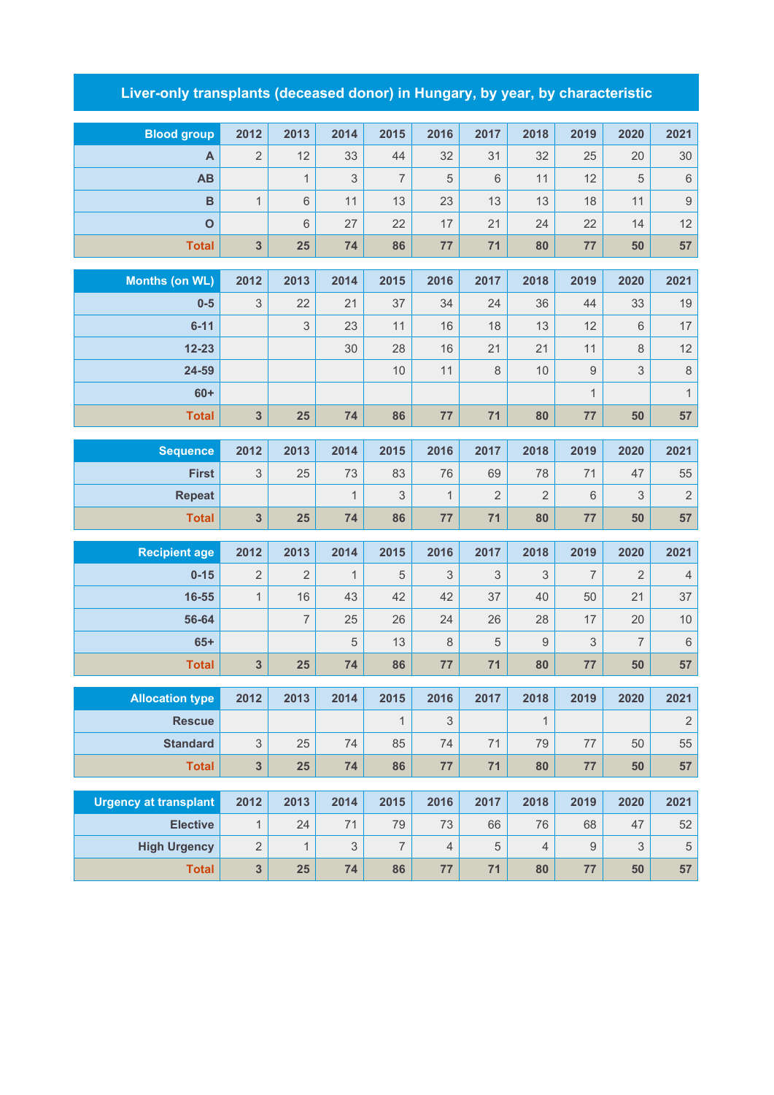## **Liver-only transplants (deceased donor) in Hungary, by year, by characteristic**

| <b>Blood group</b>           | 2012                    | 2013           | 2014           | 2015           | 2016          | 2017           | 2018           | 2019             | 2020                      | 2021             |
|------------------------------|-------------------------|----------------|----------------|----------------|---------------|----------------|----------------|------------------|---------------------------|------------------|
| A                            | $\overline{2}$          | 12             | 33             | 44             | 32            | 31             | 32             | 25               | 20                        | 30               |
| <b>AB</b>                    |                         | $\mathbf{1}$   | 3              | $\overline{7}$ | 5             | 6              | 11             | 12               | 5                         | $\,6\,$          |
| $\mathbf B$                  | $\mathbf{1}$            | $\,6\,$        | 11             | 13             | 23            | 13             | 13             | 18               | 11                        | $\boldsymbol{9}$ |
| $\mathbf{o}$                 |                         | $6\phantom{1}$ | 27             | 22             | 17            | 21             | 24             | 22               | 14                        | 12               |
| <b>Total</b>                 | 3                       | 25             | 74             | 86             | 77            | 71             | 80             | 77               | 50                        | 57               |
|                              |                         |                |                |                |               | 2017           |                |                  |                           |                  |
| <b>Months (on WL)</b>        | 2012                    | 2013           | 2014           | 2015           | 2016          |                | 2018           | 2019             | 2020                      | 2021             |
| $0-5$                        | 3                       | 22             | 21             | 37             | 34            | 24             | 36             | 44               | 33                        | $19$             |
| $6 - 11$<br>$12 - 23$        |                         | 3              | 23<br>30       | 11<br>28       | 16<br>16      | 18<br>21       | 13<br>21       | 12<br>11         | 6                         | 17<br>12         |
| 24-59                        |                         |                |                | 10             | 11            | 8              | 10             | $\boldsymbol{9}$ | 8<br>3                    | $\,8\,$          |
| $60+$                        |                         |                |                |                |               |                |                | $\mathbf{1}$     |                           | $\mathbf{1}$     |
| <b>Total</b>                 | 3                       | 25             | 74             | 86             | 77            | 71             | 80             | 77               | 50                        | 57               |
|                              |                         |                |                |                |               |                |                |                  |                           |                  |
| <b>Sequence</b>              | 2012                    | 2013           | 2014           | 2015           | 2016          | 2017           | 2018           | 2019             | 2020                      | 2021             |
| <b>First</b>                 | 3                       | 25             | 73             | 83             | 76            | 69             | 78             | 71               | 47                        | 55               |
| <b>Repeat</b>                |                         |                | $\mathbf{1}$   | 3              | $\mathbf{1}$  | $\overline{2}$ | 2              | $6\,$            | 3                         | $\sqrt{2}$       |
| <b>Total</b>                 | 3                       | 25             | 74             | 86             | 77            | 71             | 80             | 77               | 50                        | 57               |
| <b>Recipient age</b>         | 2012                    | 2013           | 2014           | 2015           | 2016          | 2017           | 2018           | 2019             | 2020                      | 2021             |
| $0 - 15$                     | $\overline{2}$          | 2              | $\mathbf{1}$   | 5              | 3             | 3              | 3              | 7                | 2                         | $\sqrt{4}$       |
| 16-55                        | $\mathbf{1}$            | 16             | 43             | 42             | 42            | 37             | 40             | 50               | 21                        | 37               |
| 56-64                        |                         | $\overline{7}$ | 25             | 26             | 24            | 26             | 28             | 17               | 20                        | $10$             |
| $65+$                        |                         |                | 5              | 13             | $\,8\,$       | 5              | $9\,$          | 3                | $\overline{7}$            | $\,$ 6 $\,$      |
| <b>Total</b>                 | 3                       | 25             | 74             | 86             | 77            | 71             | 80             | 77               | 50                        | 57               |
|                              |                         |                |                |                |               |                |                |                  |                           |                  |
| <b>Allocation type</b>       | 2012                    | 2013           | 2014           | 2015           | 2016          | 2017           | 2018           | 2019             | 2020                      | 2021             |
| <b>Rescue</b>                |                         |                |                | $\mathbf{1}$   | $\mathfrak 3$ |                | $\mathbf{1}$   |                  |                           | $\sqrt{2}$       |
| <b>Standard</b>              | 3                       | 25             | 74             | 85             | 74            | 71             | 79             | $77 \,$          | 50                        | 55               |
| <b>Total</b>                 | $\overline{\mathbf{3}}$ | 25             | 74             | 86             | 77            | 71             | 80             | 77               | 50                        | 57               |
| <b>Urgency at transplant</b> | 2012                    | 2013           | 2014           | 2015           | 2016          | 2017           | 2018           | 2019             | 2020                      | 2021             |
| <b>Elective</b>              | $\mathbf{1}$            | 24             | 71             | 79             | 73            | 66             | 76             | 68               | 47                        | 52               |
| <b>High Urgency</b>          | $\overline{2}$          | $\mathbf{1}$   | $\mathfrak{Z}$ | $\overline{7}$ | $\sqrt{4}$    | 5              | $\overline{4}$ | $\hbox{9}$       | $\ensuremath{\mathsf{3}}$ | $\,$ 5 $\,$      |
| <b>Total</b>                 | $\mathbf{3}$            | 25             | 74             | 86             | 77            | 71             | 80             | 77               | 50                        | 57               |